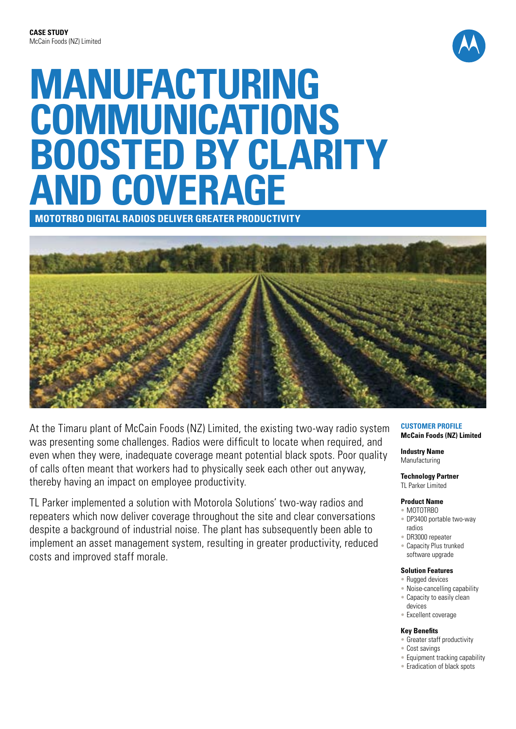

# **MANUFACTURING COMMUNICATIONS BOOSTED BY CLARITY AND COVERAGE**

**MOTOTRBO Digital Radios DELIVER GREATER PRODUCTIVITY**



At the Timaru plant of McCain Foods (NZ) Limited, the existing two-way radio system was presenting some challenges. Radios were difficult to locate when required, and even when they were, inadequate coverage meant potential black spots. Poor quality of calls often meant that workers had to physically seek each other out anyway, thereby having an impact on employee productivity.

TL Parker implemented a solution with Motorola Solutions' two-way radios and repeaters which now deliver coverage throughout the site and clear conversations despite a background of industrial noise. The plant has subsequently been able to implement an asset management system, resulting in greater productivity, reduced costs and improved staff morale.

#### **Customer Profile McCain Foods (NZ) Limited**

**Industry Name** Manufacturing

# **Technology Partner**

TL Parker Limited

### **Product Name**

- MOTOTRBO • DP3400 portable two-way radios
- DR3000 repeater
- Capacity Plus trunked software upgrade

#### **Solution Features**

- Rugged devices
- Noise-cancelling capability
- Capacity to easily clean
- devices • Excellent coverage

#### **Key Benefits**

- Greater staff productivity
- Cost savings
- Equipment tracking capability
- Eradication of black spots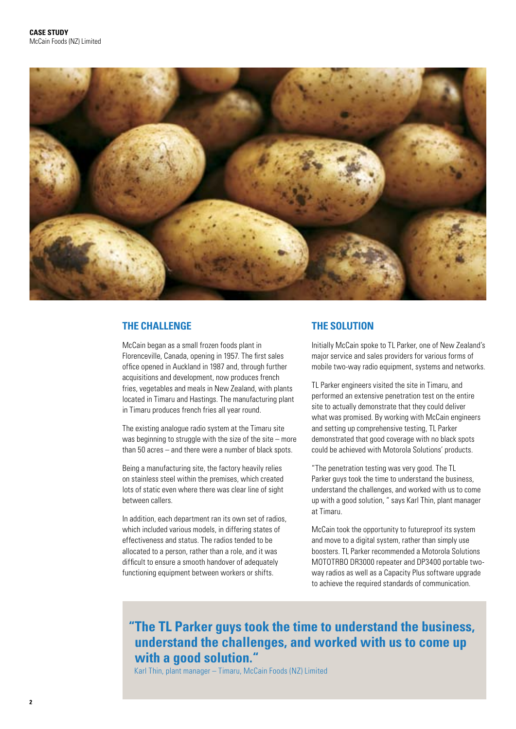

## **THE CHALLENGE**

McCain began as a small frozen foods plant in Florenceville, Canada, opening in 1957. The first sales office opened in Auckland in 1987 and, through further acquisitions and development, now produces french fries, vegetables and meals in New Zealand, with plants located in Timaru and Hastings. The manufacturing plant in Timaru produces french fries all year round.

The existing analogue radio system at the Timaru site was beginning to struggle with the size of the site – more than 50 acres – and there were a number of black spots.

Being a manufacturing site, the factory heavily relies on stainless steel within the premises, which created lots of static even where there was clear line of sight between callers.

In addition, each department ran its own set of radios, which included various models, in differing states of effectiveness and status. The radios tended to be allocated to a person, rather than a role, and it was difficult to ensure a smooth handover of adequately functioning equipment between workers or shifts.

## **THE SOLUTION**

Initially McCain spoke to TL Parker, one of New Zealand's major service and sales providers for various forms of mobile two-way radio equipment, systems and networks.

TL Parker engineers visited the site in Timaru, and performed an extensive penetration test on the entire site to actually demonstrate that they could deliver what was promised. By working with McCain engineers and setting up comprehensive testing, TL Parker demonstrated that good coverage with no black spots could be achieved with Motorola Solutions' products.

"The penetration testing was very good. The TL Parker guys took the time to understand the business, understand the challenges, and worked with us to come up with a good solution, " says Karl Thin, plant manager at Timaru.

McCain took the opportunity to futureproof its system and move to a digital system, rather than simply use boosters. TL Parker recommended a Motorola Solutions MOTOTRBO DR3000 repeater and DP3400 portable twoway radios as well as a Capacity Plus software upgrade to achieve the required standards of communication.

# **"The TL Parker guys took the time to understand the business, understand the challenges, and worked with us to come up with a good solution."**

Karl Thin, plant manager – Timaru, McCain Foods (NZ) Limited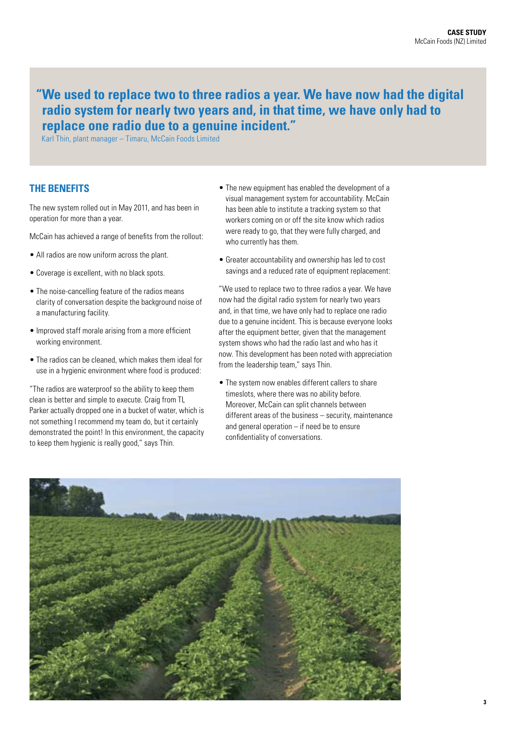# **"We used to replace two to three radios a year. We have now had the digital radio system for nearly two years and, in that time, we have only had to replace one radio due to a genuine incident."**

Karl Thin, plant manager – Timaru, McCain Foods Limited

## **THE BENEFITS**

The new system rolled out in May 2011, and has been in operation for more than a year.

McCain has achieved a range of benefits from the rollout:

- All radios are now uniform across the plant.
- Coverage is excellent, with no black spots.
- The noise-cancelling feature of the radios means clarity of conversation despite the background noise of a manufacturing facility.
- Improved staff morale arising from a more efficient working environment.
- The radios can be cleaned, which makes them ideal for use in a hygienic environment where food is produced:

"The radios are waterproof so the ability to keep them clean is better and simple to execute. Craig from TL Parker actually dropped one in a bucket of water, which is not something I recommend my team do, but it certainly demonstrated the point! In this environment, the capacity to keep them hygienic is really good," says Thin.

- The new equipment has enabled the development of a visual management system for accountability. McCain has been able to institute a tracking system so that workers coming on or off the site know which radios were ready to go, that they were fully charged, and who currently has them.
- Greater accountability and ownership has led to cost savings and a reduced rate of equipment replacement:

"We used to replace two to three radios a year. We have now had the digital radio system for nearly two years and, in that time, we have only had to replace one radio due to a genuine incident. This is because everyone looks after the equipment better, given that the management system shows who had the radio last and who has it now. This development has been noted with appreciation from the leadership team," says Thin.

• The system now enables different callers to share timeslots, where there was no ability before. Moreover, McCain can split channels between different areas of the business – security, maintenance and general operation – if need be to ensure confidentiality of conversations.